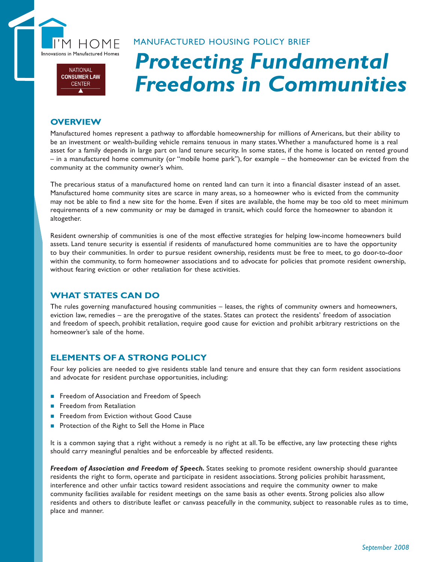

## MANUFACTURED HOUSING POLICY BRIEF

### **NATIONAL CONSUMER LAW CENTER**

# *Protecting Fundamental Freedoms in Communities*

## **OVERVIEW**

Manufactured homes represent a pathway to affordable homeownership for millions of Americans, but their ability to be an investment or wealth-building vehicle remains tenuous in many states. Whether a manufactured home is a real asset for a family depends in large part on land tenure security. In some states, if the home is located on rented ground – in a manufactured home community (or "mobile home park"), for example – the homeowner can be evicted from the community at the community owner's whim.

The precarious status of a manufactured home on rented land can turn it into a financial disaster instead of an asset. Manufactured home community sites are scarce in many areas, so a homeowner who is evicted from the community may not be able to find a new site for the home. Even if sites are available, the home may be too old to meet minimum requirements of a new community or may be damaged in transit, which could force the homeowner to abandon it altogether.

Resident ownership of communities is one of the most effective strategies for helping low-income homeowners build assets. Land tenure security is essential if residents of manufactured home communities are to have the opportunity to buy their communities. In order to pursue resident ownership, residents must be free to meet, to go door-to-door within the community, to form homeowner associations and to advocate for policies that promote resident ownership, without fearing eviction or other retaliation for these activities.

## **WHAT STATES CAN DO**

The rules governing manufactured housing communities – leases, the rights of community owners and homeowners, eviction law, remedies – are the prerogative of the states. States can protect the residents' freedom of association and freedom of speech, prohibit retaliation, require good cause for eviction and prohibit arbitrary restrictions on the homeowner's sale of the home.

# **ELEMENTS OF A STRONG POLICY**

Four key policies are needed to give residents stable land tenure and ensure that they can form resident associations and advocate for resident purchase opportunities, including:

- Freedom of Association and Freedom of Speech
- Freedom from Retaliation
- Freedom from Eviction without Good Cause
- **Protection of the Right to Sell the Home in Place**

It is a common saying that a right without a remedy is no right at all. To be effective, any law protecting these rights should carry meaningful penalties and be enforceable by affected residents.

*Freedom of Association and Freedom of Speech.* States seeking to promote resident ownership should guarantee residents the right to form, operate and participate in resident associations. Strong policies prohibit harassment, interference and other unfair tactics toward resident associations and require the community owner to make community facilities available for resident meetings on the same basis as other events. Strong policies also allow residents and others to distribute leaflet or canvass peacefully in the community, subject to reasonable rules as to time, place and manner.